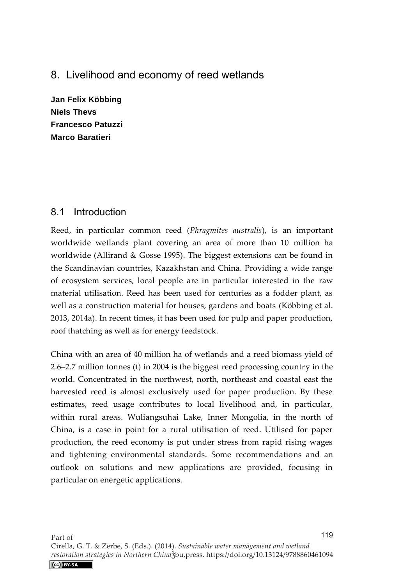# 8. Livelihood and economy of reed wetlands

**Jan Felix Köbbing Niels Thevs Francesco Patuzzi Marco Baratieri** 

## 8.1 Introduction

Reed, in particular common reed (*Phragmites australis*), is an important worldwide wetlands plant covering an area of more than 10 million ha worldwide (Allirand & Gosse 1995). The biggest extensions can be found in the Scandinavian countries, Kazakhstan and China. Providing a wide range of ecosystem services, local people are in particular interested in the raw material utilisation. Reed has been used for centuries as a fodder plant, as well as a construction material for houses, gardens and boats (Köbbing et al. 2013, 2014a). In recent times, it has been used for pulp and paper production, roof thatching as well as for energy feedstock.

China with an area of 40 million ha of wetlands and a reed biomass yield of 2.6–2.7 million tonnes (t) in 2004 is the biggest reed processing country in the world. Concentrated in the northwest, north, northeast and coastal east the harvested reed is almost exclusively used for paper production. By these estimates, reed usage contributes to local livelihood and, in particular, within rural areas. Wuliangsuhai Lake, Inner Mongolia, in the north of China, is a case in point for a rural utilisation of reed. Utilised for paper production, the reed economy is put under stress from rapid rising wages and tightening environmental standards. Some recommendations and an outlook on solutions and new applications are provided, focusing in particular on energetic applications.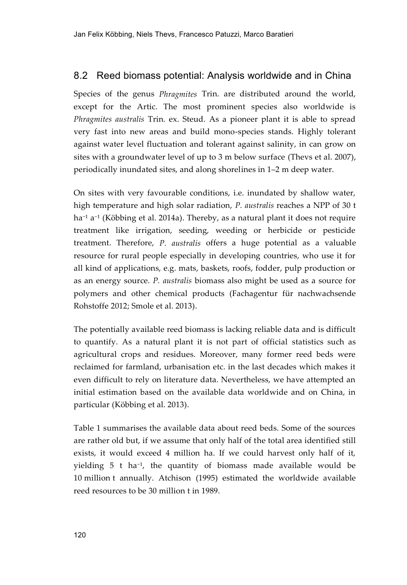#### 8.2 Reed biomass potential: Analysis worldwide and in China

Species of the genus *Phragmites* Trin. are distributed around the world, except for the Artic. The most prominent species also worldwide is *Phragmites australis* Trin. ex. Steud. As a pioneer plant it is able to spread very fast into new areas and build mono-species stands. Highly tolerant against water level fluctuation and tolerant against salinity, in can grow on sites with a groundwater level of up to 3 m below surface (Thevs et al. 2007), periodically inundated sites, and along shorelines in 1–2 m deep water.

On sites with very favourable conditions, i.e. inundated by shallow water, high temperature and high solar radiation, *P. australis* reaches a NPP of 30 t ha<sup>-1</sup> a<sup>-1</sup> (Köbbing et al. 2014a). Thereby, as a natural plant it does not require treatment like irrigation, seeding, weeding or herbicide or pesticide treatment. Therefore, *P. australis* offers a huge potential as a valuable resource for rural people especially in developing countries, who use it for all kind of applications, e.g. mats, baskets, roofs, fodder, pulp production or as an energy source. *P. australis* biomass also might be used as a source for polymers and other chemical products (Fachagentur für nachwachsende Rohstoffe 2012; Smole et al. 2013).

The potentially available reed biomass is lacking reliable data and is difficult to quantify. As a natural plant it is not part of official statistics such as agricultural crops and residues. Moreover, many former reed beds were reclaimed for farmland, urbanisation etc. in the last decades which makes it even difficult to rely on literature data. Nevertheless, we have attempted an initial estimation based on the available data worldwide and on China, in particular (Köbbing et al. 2013).

Table 1 summarises the available data about reed beds. Some of the sources are rather old but, if we assume that only half of the total area identified still exists, it would exceed 4 million ha. If we could harvest only half of it, yielding  $5$  t ha<sup>-1</sup>, the quantity of biomass made available would be 10 million t annually. Atchison (1995) estimated the worldwide available reed resources to be 30 million t in 1989.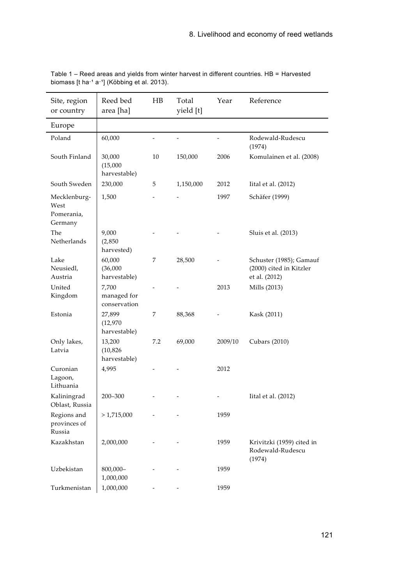| Site, region<br>or country                    | Reed bed<br>area [ha]                | HВ  | Total<br>yield [t] | Year    | Reference                                                           |
|-----------------------------------------------|--------------------------------------|-----|--------------------|---------|---------------------------------------------------------------------|
| Europe                                        |                                      |     |                    |         |                                                                     |
| Poland                                        | 60,000                               |     |                    |         | Rodewald-Rudescu<br>(1974)                                          |
| South Finland                                 | 30,000<br>(15,000)<br>harvestable)   | 10  | 150,000            | 2006    | Komulainen et al. (2008)                                            |
| South Sweden                                  | 230,000                              | 5   | 1,150,000          | 2012    | Iital et al. (2012)                                                 |
| Mecklenburg-<br>West<br>Pomerania,<br>Germany | 1,500                                |     |                    | 1997    | Schäfer (1999)                                                      |
| The<br>Netherlands                            | 9,000<br>(2,850)<br>harvested)       |     |                    |         | Sluis et al. (2013)                                                 |
| Lake<br>Neusiedl,<br>Austria                  | 60,000<br>(36,000)<br>harvestable)   | 7   | 28,500             |         | Schuster (1985); Gamauf<br>(2000) cited in Kitzler<br>et al. (2012) |
| United<br>Kingdom                             | 7,700<br>managed for<br>conservation |     |                    | 2013    | Mills (2013)                                                        |
| Estonia                                       | 27,899<br>(12, 970)<br>harvestable)  | 7   | 88,368             |         | Kask (2011)                                                         |
| Only lakes,<br>Latvia                         | 13,200<br>(10, 826)<br>harvestable)  | 7.2 | 69,000             | 2009/10 | Cubars (2010)                                                       |
| Curonian<br>Lagoon,<br>Lithuania              | 4,995                                |     |                    | 2012    |                                                                     |
| Kaliningrad<br>Oblast, Russia                 | 200-300                              |     |                    |         | Iital et al. (2012)                                                 |
| Regions and<br>provinces of<br>Russia         | >1,715,000                           |     |                    | 1959    |                                                                     |
| Kazakhstan                                    | 2,000,000                            |     |                    | 1959    | Krivitzki (1959) cited in<br>Rodewald-Rudescu<br>(1974)             |
| Uzbekistan                                    | 800,000-<br>1,000,000                |     |                    | 1959    |                                                                     |
| Turkmenistan                                  | 1,000,000                            |     |                    | 1959    |                                                                     |

Table 1 – Reed areas and yields from winter harvest in different countries. HB = Harvested biomass [t ha<sup>-1</sup> a<sup>-1</sup>] (Köbbing et al. 2013).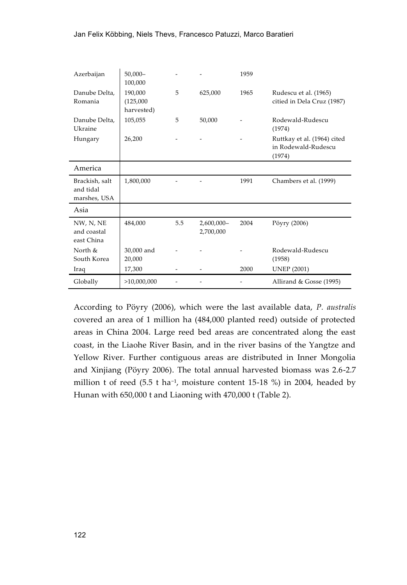| Azerbaijan                                  | $50,000-$<br>100,000               |     |                            | 1959 |                                                              |
|---------------------------------------------|------------------------------------|-----|----------------------------|------|--------------------------------------------------------------|
| Danube Delta,<br>Romania                    | 190.000<br>(125,000)<br>harvested) | 5   | 625,000                    | 1965 | Rudescu et al. (1965)<br>citied in Dela Cruz (1987)          |
| Danube Delta,<br>Ukraine                    | 105,055                            | 5   | 50,000                     |      | Rodewald-Rudescu<br>(1974)                                   |
| Hungary                                     | 26,200                             |     |                            |      | Ruttkay et al. (1964) cited<br>in Rodewald-Rudescu<br>(1974) |
| America                                     |                                    |     |                            |      |                                                              |
| Brackish, salt<br>and tidal<br>marshes, USA | 1,800,000                          |     |                            | 1991 | Chambers et al. (1999)                                       |
| Asia                                        |                                    |     |                            |      |                                                              |
| NW, N, NE<br>and coastal<br>east China      | 484,000                            | 5.5 | $2,600,000 -$<br>2,700,000 | 2004 | Pöyry (2006)                                                 |
| North &<br>South Korea                      | 30,000 and<br>20,000               |     |                            |      | Rodewald-Rudescu<br>(1958)                                   |
| Iraq                                        | 17,300                             |     |                            | 2000 | <b>UNEP</b> (2001)                                           |
| Globally                                    | >10,000,000                        |     |                            |      | Allirand & Gosse (1995)                                      |

According to Pöyry (2006), which were the last available data, *P. australis* covered an area of 1 million ha (484,000 planted reed) outside of protected areas in China 2004. Large reed bed areas are concentrated along the east coast, in the Liaohe River Basin, and in the river basins of the Yangtze and Yellow River. Further contiguous areas are distributed in Inner Mongolia and Xinjiang (Pöyry 2006). The total annual harvested biomass was 2.6-2.7 million t of reed  $(5.5 \text{ t ha}^{-1})$ , moisture content 15-18 %) in 2004, headed by Hunan with 650,000 t and Liaoning with 470,000 t (Table 2).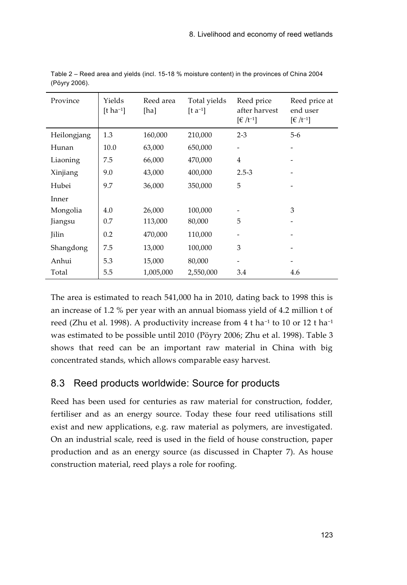| Province     | Yields<br>$[t ha^{-1}]$ | Reed area<br>[ha] | Total yields<br>$[t a-1]$ | Reed price<br>after harvest<br>$\lbrack \in/t^{-1} \rbrack$ | Reed price at<br>end user<br>$\lbrack \in/t^{-1} \rbrack$ |
|--------------|-------------------------|-------------------|---------------------------|-------------------------------------------------------------|-----------------------------------------------------------|
| Heilongjang  | 1.3                     | 160,000           | 210,000                   | $2 - 3$                                                     | $5-6$                                                     |
| Hunan        | 10.0                    | 63,000            | 650,000                   |                                                             | ۰                                                         |
| Liaoning     | 7.5                     | 66,000            | 470,000                   | $\overline{4}$                                              |                                                           |
| Xinjiang     | 9.0                     | 43,000            | 400,000                   | $2.5 - 3$                                                   |                                                           |
| Hubei        | 9.7                     | 36,000            | 350,000                   | 5                                                           |                                                           |
| Inner        |                         |                   |                           |                                                             |                                                           |
| Mongolia     | 4.0                     | 26,000            | 100,000                   |                                                             | 3                                                         |
| Jiangsu      | 0.7                     | 113,000           | 80,000                    | 5                                                           |                                                           |
| <b>Jilin</b> | 0.2                     | 470,000           | 110,000                   |                                                             |                                                           |
| Shangdong    | 7.5                     | 13,000            | 100,000                   | 3                                                           |                                                           |
| Anhui        | 5.3                     | 15,000            | 80,000                    |                                                             |                                                           |
| Total        | 5.5                     | 1,005,000         | 2,550,000                 | 3.4                                                         | 4.6                                                       |

Table 2 – Reed area and yields (incl. 15-18 % moisture content) in the provinces of China 2004 (Pöyry 2006).

The area is estimated to reach 541,000 ha in 2010, dating back to 1998 this is an increase of 1.2 % per year with an annual biomass yield of 4.2 million t of reed (Zhu et al. 1998). A productivity increase from  $4$  t ha<sup>-1</sup> to 10 or 12 t ha<sup>-1</sup> was estimated to be possible until 2010 (Pöyry 2006; Zhu et al. 1998). Table 3 shows that reed can be an important raw material in China with big concentrated stands, which allows comparable easy harvest.

## 8.3 Reed products worldwide: Source for products

Reed has been used for centuries as raw material for construction, fodder, fertiliser and as an energy source. Today these four reed utilisations still exist and new applications, e.g. raw material as polymers, are investigated. On an industrial scale, reed is used in the field of house construction, paper production and as an energy source (as discussed in Chapter 7). As house construction material, reed plays a role for roofing.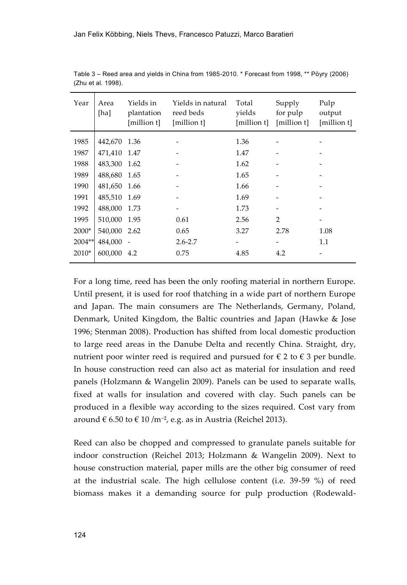| Year   | Area<br>[ha] | Yields in<br>plantation<br>[million t] | Yields in natural<br>reed beds<br>[million t] | Total<br>yields<br>[million t] | Supply<br>for pulp<br>[million t] | Pulp<br>output<br>[million t] |
|--------|--------------|----------------------------------------|-----------------------------------------------|--------------------------------|-----------------------------------|-------------------------------|
| 1985   | 442,670 1.36 |                                        |                                               | 1.36                           |                                   |                               |
| 1987   | 471,410 1.47 |                                        |                                               | 1.47                           |                                   |                               |
| 1988   | 483,300 1.62 |                                        |                                               | 1.62                           |                                   |                               |
| 1989   | 488,680      | 1.65                                   |                                               | 1.65                           |                                   |                               |
| 1990   | 481,650      | 1.66                                   |                                               | 1.66                           |                                   |                               |
| 1991   | 485,510      | 1.69                                   |                                               | 1.69                           | -                                 |                               |
| 1992   | 488,000      | 1.73                                   |                                               | 1.73                           |                                   |                               |
| 1995   | 510,000      | 1.95                                   | 0.61                                          | 2.56                           | $\overline{2}$                    |                               |
| 2000*  | 540,000 2.62 |                                        | 0.65                                          | 3.27                           | 2.78                              | 1.08                          |
| 2004** | 484,000 -    |                                        | $2.6 - 2.7$                                   | $\qquad \qquad \blacksquare$   | ۰                                 | $1.1\,$                       |
| 2010*  | 600,000      | 4.2                                    | 0.75                                          | 4.85                           | 4.2                               |                               |
|        |              |                                        |                                               |                                |                                   |                               |

Table 3 – Reed area and yields in China from 1985-2010. \* Forecast from 1998, \*\* Pöyry (2006) (Zhu et al. 1998).

For a long time, reed has been the only roofing material in northern Europe. Until present, it is used for roof thatching in a wide part of northern Europe and Japan. The main consumers are The Netherlands, Germany, Poland, Denmark, United Kingdom, the Baltic countries and Japan (Hawke & Jose 1996; Stenman 2008). Production has shifted from local domestic production to large reed areas in the Danube Delta and recently China. Straight, dry, nutrient poor winter reed is required and pursued for  $\epsilon$  2 to  $\epsilon$  3 per bundle. In house construction reed can also act as material for insulation and reed panels (Holzmann & Wangelin 2009). Panels can be used to separate walls, fixed at walls for insulation and covered with clay. Such panels can be produced in a flexible way according to the sizes required. Cost vary from around  $\epsilon$  6.50 to  $\epsilon$  10 /m<sup>-2</sup>, e.g. as in Austria (Reichel 2013).

Reed can also be chopped and compressed to granulate panels suitable for indoor construction (Reichel 2013; Holzmann & Wangelin 2009). Next to house construction material, paper mills are the other big consumer of reed at the industrial scale. The high cellulose content (i.e. 39-59 %) of reed biomass makes it a demanding source for pulp production (Rodewald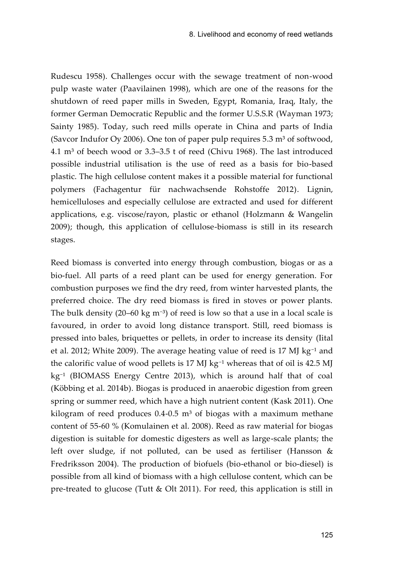Rudescu 1958). Challenges occur with the sewage treatment of non-wood pulp waste water (Paavilainen 1998), which are one of the reasons for the shutdown of reed paper mills in Sweden, Egypt, Romania, Iraq, Italy, the former German Democratic Republic and the former U.S.S.R (Wayman 1973; Sainty 1985). Today, such reed mills operate in China and parts of India (Savcor Indufor Oy 2006). One ton of paper pulp requires  $5.3 \text{ m}^3$  of softwood,  $4.1 \text{ m}^3$  of beech wood or 3.3–3.5 t of reed (Chivu 1968). The last introduced possible industrial utilisation is the use of reed as a basis for bio-based plastic. The high cellulose content makes it a possible material for functional polymers (Fachagentur für nachwachsende Rohstoffe 2012). Lignin, hemicelluloses and especially cellulose are extracted and used for different applications, e.g. viscose/rayon, plastic or ethanol (Holzmann & Wangelin 2009); though, this application of cellulose-biomass is still in its research stages.

Reed biomass is converted into energy through combustion, biogas or as a bio-fuel. All parts of a reed plant can be used for energy generation. For combustion purposes we find the dry reed, from winter harvested plants, the preferred choice. The dry reed biomass is fired in stoves or power plants. The bulk density (20–60 kg m<sup>-3</sup>) of reed is low so that a use in a local scale is favoured, in order to avoid long distance transport. Still, reed biomass is pressed into bales, briquettes or pellets, in order to increase its density (Iital et al. 2012; White 2009). The average heating value of reed is 17 MJ  $kg^{-1}$  and the calorific value of wood pellets is 17 MJ kg $^{-1}$  whereas that of oil is 42.5 MJ  $kg<sup>-1</sup>$  (BIOMASS Energy Centre 2013), which is around half that of coal (Köbbing et al. 2014b). Biogas is produced in anaerobic digestion from green spring or summer reed, which have a high nutrient content (Kask 2011). One kilogram of reed produces  $0.4$ - $0.5$  m<sup>3</sup> of biogas with a maximum methane content of 55-60 % (Komulainen et al. 2008). Reed as raw material for biogas digestion is suitable for domestic digesters as well as large-scale plants; the left over sludge, if not polluted, can be used as fertiliser (Hansson & Fredriksson 2004). The production of biofuels (bio-ethanol or bio-diesel) is possible from all kind of biomass with a high cellulose content, which can be pre-treated to glucose (Tutt & Olt 2011). For reed, this application is still in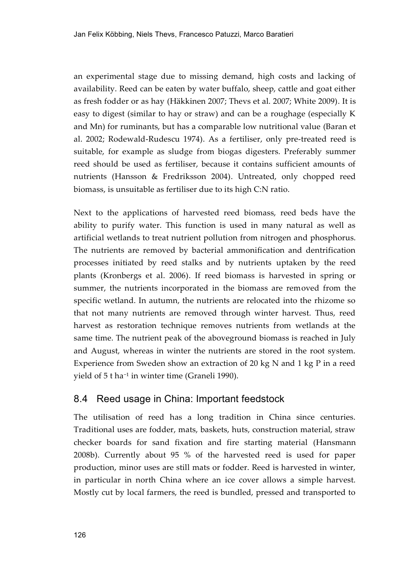an experimental stage due to missing demand, high costs and lacking of availability. Reed can be eaten by water buffalo, sheep, cattle and goat either as fresh fodder or as hay (Häkkinen 2007; Thevs et al. 2007; White 2009). It is easy to digest (similar to hay or straw) and can be a roughage (especially K and Mn) for ruminants, but has a comparable low nutritional value (Baran et al. 2002; Rodewald-Rudescu 1974). As a fertiliser, only pre-treated reed is suitable, for example as sludge from biogas digesters. Preferably summer reed should be used as fertiliser, because it contains sufficient amounts of nutrients (Hansson & Fredriksson 2004). Untreated, only chopped reed biomass, is unsuitable as fertiliser due to its high C:N ratio.

Next to the applications of harvested reed biomass, reed beds have the ability to purify water. This function is used in many natural as well as artificial wetlands to treat nutrient pollution from nitrogen and phosphorus. The nutrients are removed by bacterial ammonification and dentrification processes initiated by reed stalks and by nutrients uptaken by the reed plants (Kronbergs et al. 2006). If reed biomass is harvested in spring or summer, the nutrients incorporated in the biomass are removed from the specific wetland. In autumn, the nutrients are relocated into the rhizome so that not many nutrients are removed through winter harvest. Thus, reed harvest as restoration technique removes nutrients from wetlands at the same time. The nutrient peak of the aboveground biomass is reached in July and August, whereas in winter the nutrients are stored in the root system. Experience from Sweden show an extraction of 20 kg N and 1 kg P in a reed yield of  $5$  t ha<sup>-1</sup> in winter time (Graneli 1990).

### 8.4 Reed usage in China: Important feedstock

The utilisation of reed has a long tradition in China since centuries. Traditional uses are fodder, mats, baskets, huts, construction material, straw checker boards for sand fixation and fire starting material (Hansmann 2008b). Currently about 95 % of the harvested reed is used for paper production, minor uses are still mats or fodder. Reed is harvested in winter, in particular in north China where an ice cover allows a simple harvest. Mostly cut by local farmers, the reed is bundled, pressed and transported to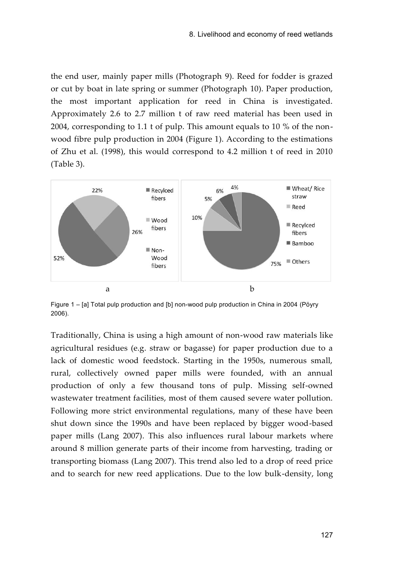the end user, mainly paper mills (Photograph 9). Reed for fodder is grazed or cut by boat in late spring or summer (Photograph 10). Paper production, the most important application for reed in China is investigated. Approximately 2.6 to 2.7 million t of raw reed material has been used in 2004, corresponding to 1.1 t of pulp. This amount equals to 10 % of the nonwood fibre pulp production in 2004 (Figure 1). According to the estimations of Zhu et al. (1998), this would correspond to 4.2 million t of reed in 2010 (Table 3).



Figure 1 – [a] Total pulp production and [b] non-wood pulp production in China in 2004 (Pöyry 2006).

Traditionally, China is using a high amount of non-wood raw materials like agricultural residues (e.g. straw or bagasse) for paper production due to a lack of domestic wood feedstock. Starting in the 1950s, numerous small, rural, collectively owned paper mills were founded, with an annual production of only a few thousand tons of pulp. Missing self-owned wastewater treatment facilities, most of them caused severe water pollution. Following more strict environmental regulations, many of these have been shut down since the 1990s and have been replaced by bigger wood-based paper mills (Lang 2007). This also influences rural labour markets where around 8 million generate parts of their income from harvesting, trading or transporting biomass (Lang 2007). This trend also led to a drop of reed price and to search for new reed applications. Due to the low bulk-density, long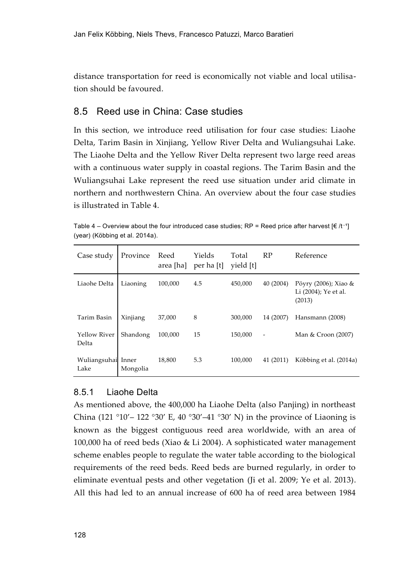distance transportation for reed is economically not viable and local utilisation should be favoured.

## 8.5 Reed use in China: Case studies

In this section, we introduce reed utilisation for four case studies: Liaohe Delta, Tarim Basin in Xinjiang, Yellow River Delta and Wuliangsuhai Lake. The Liaohe Delta and the Yellow River Delta represent two large reed areas with a continuous water supply in coastal regions. The Tarim Basin and the Wuliangsuhai Lake represent the reed use situation under arid climate in northern and northwestern China. An overview about the four case studies is illustrated in Table 4.

| Case study                 | Province | Reed<br>area [ha] | Yields<br>per ha [t] | Total<br>yield [t] | RP        | Reference                                              |
|----------------------------|----------|-------------------|----------------------|--------------------|-----------|--------------------------------------------------------|
| Liaohe Delta               | Liaoning | 100,000           | 4.5                  | 450,000            | 40 (2004) | Pöyry (2006); Xiao &<br>Li (2004); Ye et al.<br>(2013) |
| Tarim Basin                | Xinjiang | 37,000            | 8                    | 300,000            | 14 (2007) | Hansmann (2008)                                        |
| Yellow River<br>Delta      | Shandong | 100,000           | 15                   | 150,000            |           | Man & Croon (2007)                                     |
| Wuliangsuhai Inner<br>Lake | Mongolia | 18,800            | 5.3                  | 100,000            | 41 (2011) | Köbbing et al. (2014a)                                 |

Table 4 – Overview about the four introduced case studies; RP = Reed price after harvest  $\lceil \xi / t^{-1} \rceil$ (year) (Köbbing et al. 2014a).

### 8.5.1 Liaohe Delta

As mentioned above, the 400,000 ha Liaohe Delta (also Panjing) in northeast China (121 °10' – 122 °30' E, 40 °30' –41 °30' N) in the province of Liaoning is known as the biggest contiguous reed area worldwide, with an area of 100,000 ha of reed beds (Xiao & Li 2004). A sophisticated water management scheme enables people to regulate the water table according to the biological requirements of the reed beds. Reed beds are burned regularly, in order to eliminate eventual pests and other vegetation (Ji et al. 2009; Ye et al. 2013). All this had led to an annual increase of 600 ha of reed area between 1984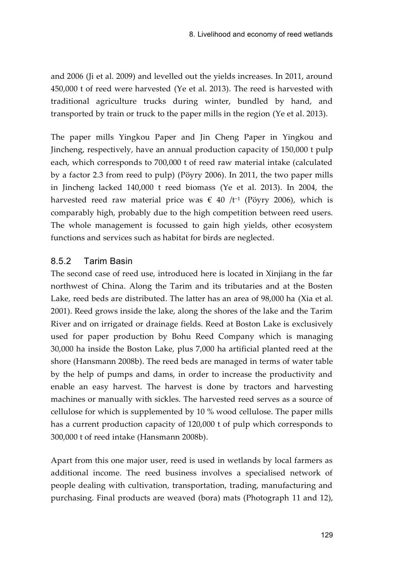and 2006 (Ji et al. 2009) and levelled out the yields increases. In 2011, around 450,000 t of reed were harvested (Ye et al. 2013). The reed is harvested with traditional agriculture trucks during winter, bundled by hand, and transported by train or truck to the paper mills in the region (Ye et al. 2013).

The paper mills Yingkou Paper and Jin Cheng Paper in Yingkou and Jincheng, respectively, have an annual production capacity of 150,000 t pulp each, which corresponds to 700,000 t of reed raw material intake (calculated by a factor 2.3 from reed to pulp) (Pöyry 2006). In 2011, the two paper mills in Jincheng lacked 140,000 t reed biomass (Ye et al. 2013). In 2004, the harvested reed raw material price was  $\epsilon$  40 /t<sup>-1</sup> (Pöyry 2006), which is comparably high, probably due to the high competition between reed users. The whole management is focussed to gain high yields, other ecosystem functions and services such as habitat for birds are neglected.

#### 8.5.2 Tarim Basin

The second case of reed use, introduced here is located in Xinjiang in the far northwest of China. Along the Tarim and its tributaries and at the Bosten Lake, reed beds are distributed. The latter has an area of 98,000 ha (Xia et al. 2001). Reed grows inside the lake, along the shores of the lake and the Tarim River and on irrigated or drainage fields. Reed at Boston Lake is exclusively used for paper production by Bohu Reed Company which is managing 30,000 ha inside the Boston Lake, plus 7,000 ha artificial planted reed at the shore (Hansmann 2008b). The reed beds are managed in terms of water table by the help of pumps and dams, in order to increase the productivity and enable an easy harvest. The harvest is done by tractors and harvesting machines or manually with sickles. The harvested reed serves as a source of cellulose for which is supplemented by 10 % wood cellulose. The paper mills has a current production capacity of 120,000 t of pulp which corresponds to 300,000 t of reed intake (Hansmann 2008b).

Apart from this one major user, reed is used in wetlands by local farmers as additional income. The reed business involves a specialised network of people dealing with cultivation, transportation, trading, manufacturing and purchasing. Final products are weaved (bora) mats (Photograph 11 and 12),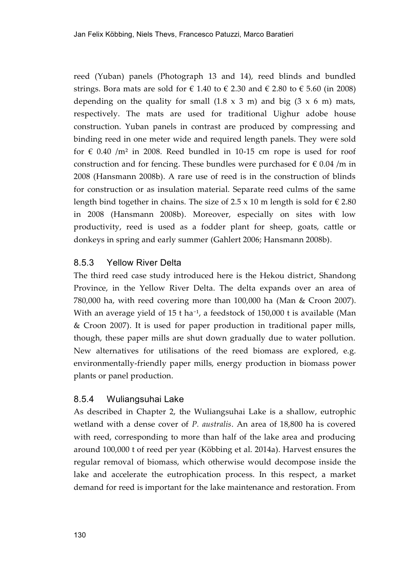reed (Yuban) panels (Photograph 13 and 14), reed blinds and bundled strings. Bora mats are sold for  $\in$  1.40 to  $\in$  2.30 and  $\in$  2.80 to  $\in$  5.60 (in 2008) depending on the quality for small  $(1.8 \times 3 \text{ m})$  and big  $(3 \times 6 \text{ m})$  mats, respectively. The mats are used for traditional Uighur adobe house construction. Yuban panels in contrast are produced by compressing and binding reed in one meter wide and required length panels. They were sold for  $\epsilon$  0.40 /m<sup>2</sup> in 2008. Reed bundled in 10-15 cm rope is used for roof construction and for fencing. These bundles were purchased for  $\epsilon$  0.04 /m in 2008 (Hansmann 2008b). A rare use of reed is in the construction of blinds for construction or as insulation material. Separate reed culms of the same length bind together in chains. The size of 2.5 x 10 m length is sold for  $\epsilon$  2.80 in 2008 (Hansmann 2008b). Moreover, especially on sites with low productivity, reed is used as a fodder plant for sheep, goats, cattle or donkeys in spring and early summer (Gahlert 2006; Hansmann 2008b).

### 8.5.3 Yellow River Delta

The third reed case study introduced here is the Hekou district, Shandong Province, in the Yellow River Delta. The delta expands over an area of 780,000 ha, with reed covering more than 100,000 ha (Man & Croon 2007). With an average yield of 15 t ha<sup>-1</sup>, a feedstock of 150,000 t is available (Man & Croon 2007). It is used for paper production in traditional paper mills, though, these paper mills are shut down gradually due to water pollution. New alternatives for utilisations of the reed biomass are explored, e.g. environmentally-friendly paper mills, energy production in biomass power plants or panel production.

### 8.5.4 Wuliangsuhai Lake

As described in Chapter 2, the Wuliangsuhai Lake is a shallow, eutrophic wetland with a dense cover of *P. australis*. An area of 18,800 ha is covered with reed, corresponding to more than half of the lake area and producing around 100,000 t of reed per year (Köbbing et al. 2014a). Harvest ensures the regular removal of biomass, which otherwise would decompose inside the lake and accelerate the eutrophication process. In this respect, a market demand for reed is important for the lake maintenance and restoration. From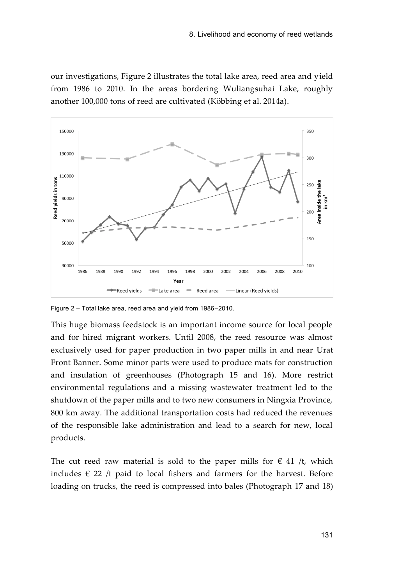our investigations, Figure 2 illustrates the total lake area, reed area and yield from 1986 to 2010. In the areas bordering Wuliangsuhai Lake, roughly another 100,000 tons of reed are cultivated (Köbbing et al. 2014a).



Figure 2 – Total lake area, reed area and yield from 1986–2010.

This huge biomass feedstock is an important income source for local people and for hired migrant workers. Until 2008, the reed resource was almost exclusively used for paper production in two paper mills in and near Urat Front Banner. Some minor parts were used to produce mats for construction and insulation of greenhouses (Photograph 15 and 16). More restrict environmental regulations and a missing wastewater treatment led to the shutdown of the paper mills and to two new consumers in Ningxia Province, 800 km away. The additional transportation costs had reduced the revenues of the responsible lake administration and lead to a search for new, local products.

The cut reed raw material is sold to the paper mills for  $\epsilon$  41 /t, which includes  $\epsilon$  22 /t paid to local fishers and farmers for the harvest. Before loading on trucks, the reed is compressed into bales (Photograph 17 and 18)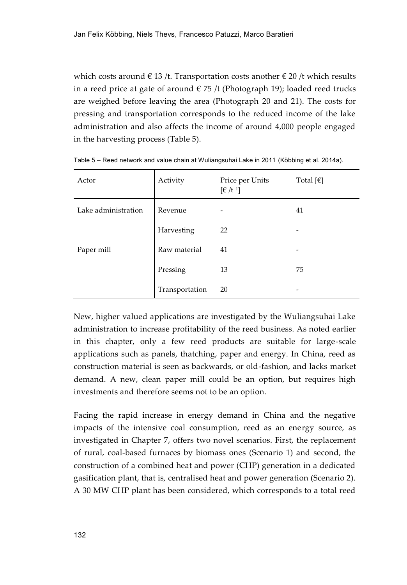which costs around  $\in$  13 /t. Transportation costs another  $\in$  20 /t which results in a reed price at gate of around  $\epsilon$  75 /t (Photograph 19); loaded reed trucks are weighed before leaving the area (Photograph 20 and 21). The costs for pressing and transportation corresponds to the reduced income of the lake administration and also affects the income of around 4,000 people engaged in the harvesting process (Table 5).

| Actor               | Activity       | Price per Units<br>$\lbrack \in/t^{-1} \rbrack$ | Total $[\in]$ |
|---------------------|----------------|-------------------------------------------------|---------------|
| Lake administration | Revenue        |                                                 | 41            |
|                     | Harvesting     | 22                                              | ۰             |
| Paper mill          | Raw material   | 41                                              |               |
|                     | Pressing       | 13                                              | 75            |
|                     | Transportation | 20                                              | ۰             |

Table 5 – Reed network and value chain at Wuliangsuhai Lake in 2011 (Köbbing et al. 2014a).

New, higher valued applications are investigated by the Wuliangsuhai Lake administration to increase profitability of the reed business. As noted earlier in this chapter, only a few reed products are suitable for large-scale applications such as panels, thatching, paper and energy. In China, reed as construction material is seen as backwards, or old-fashion, and lacks market demand. A new, clean paper mill could be an option, but requires high investments and therefore seems not to be an option.

Facing the rapid increase in energy demand in China and the negative impacts of the intensive coal consumption, reed as an energy source, as investigated in Chapter 7, offers two novel scenarios. First, the replacement of rural, coal-based furnaces by biomass ones (Scenario 1) and second, the construction of a combined heat and power (CHP) generation in a dedicated gasification plant, that is, centralised heat and power generation (Scenario 2). A 30 MW CHP plant has been considered, which corresponds to a total reed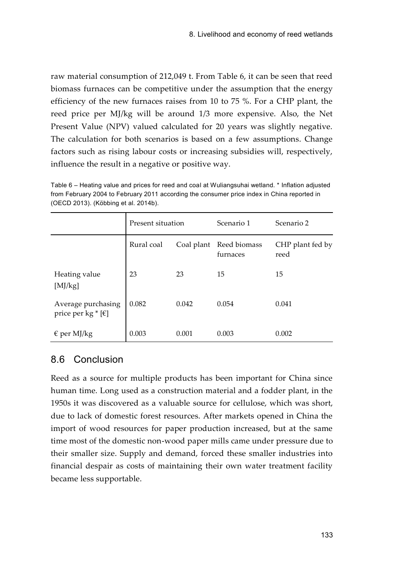raw material consumption of 212,049 t. From Table 6, it can be seen that reed biomass furnaces can be competitive under the assumption that the energy efficiency of the new furnaces raises from 10 to 75 %. For a CHP plant, the reed price per MJ/kg will be around 1/3 more expensive. Also, the Net Present Value (NPV) valued calculated for 20 years was slightly negative. The calculation for both scenarios is based on a few assumptions. Change factors such as rising labour costs or increasing subsidies will, respectively, influence the result in a negative or positive way.

|                                            | Present situation |       | Scenario 1                          | Scenario 2               |
|--------------------------------------------|-------------------|-------|-------------------------------------|--------------------------|
|                                            | Rural coal        |       | Coal plant Reed biomass<br>furnaces | CHP plant fed by<br>reed |
| Heating value<br>[M]/kg                    | 23                | 23    | 15                                  | 15                       |
| Average purchasing<br>price per $kg * [f]$ | 0.082             | 0.042 | 0.054                               | 0.041                    |
| $\epsilon$ per MJ/kg                       | 0.003             | 0.001 | 0.003                               | 0.002                    |

Table 6 – Heating value and prices for reed and coal at Wuliangsuhai wetland. \* Inflation adjusted from February 2004 to February 2011 according the consumer price index in China reported in (OECD 2013). (Köbbing et al. 2014b).

# 8.6 Conclusion

Reed as a source for multiple products has been important for China since human time. Long used as a construction material and a fodder plant, in the 1950s it was discovered as a valuable source for cellulose, which was short, due to lack of domestic forest resources. After markets opened in China the import of wood resources for paper production increased, but at the same time most of the domestic non-wood paper mills came under pressure due to their smaller size. Supply and demand, forced these smaller industries into financial despair as costs of maintaining their own water treatment facility became less supportable.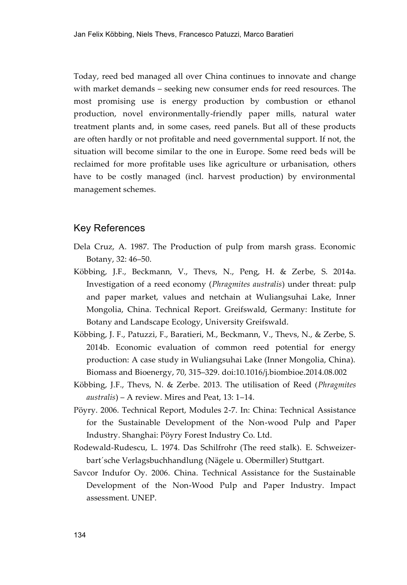Today, reed bed managed all over China continues to innovate and change with market demands – seeking new consumer ends for reed resources. The most promising use is energy production by combustion or ethanol production, novel environmentally-friendly paper mills, natural water treatment plants and, in some cases, reed panels. But all of these products are often hardly or not profitable and need governmental support. If not, the situation will become similar to the one in Europe. Some reed beds will be reclaimed for more profitable uses like agriculture or urbanisation, others have to be costly managed (incl. harvest production) by environmental management schemes.

#### Key References

- Dela Cruz, A. 1987. The Production of pulp from marsh grass. Economic Botany, 32: 46–50.
- Köbbing, J.F., Beckmann, V., Thevs, N., Peng, H. & Zerbe, S. 2014a. Investigation of a reed economy (*Phragmites australis*) under threat: pulp and paper market, values and netchain at Wuliangsuhai Lake, Inner Mongolia, China. Technical Report. Greifswald, Germany: Institute for Botany and Landscape Ecology, University Greifswald.
- Köbbing, J. F., Patuzzi, F., Baratieri, M., Beckmann, V., Thevs, N., & Zerbe, S. 2014b. Economic evaluation of common reed potential for energy production: A case study in Wuliangsuhai Lake (Inner Mongolia, China). Biomass and Bioenergy, 70, 315–329. [doi:10.1016/j.biombioe.2014.08.002](http://dx.doi.org/10.1016/j.biombioe.2014.08.002)
- Köbbing, J.F., Thevs, N. & Zerbe. 2013. The utilisation of Reed (*Phragmites australis*) – A review. Mires and Peat, 13: 1–14.
- Pöyry. 2006. Technical Report, Modules 2-7. In: China: Technical Assistance for the Sustainable Development of the Non-wood Pulp and Paper Industry. Shanghai: Pöyry Forest Industry Co. Ltd.
- Rodewald-Rudescu, L. 1974. Das Schilfrohr (The reed stalk). E. Schweizerbart´sche Verlagsbuchhandlung (Nägele u. Obermiller) Stuttgart.
- Savcor Indufor Oy. 2006. China. Technical Assistance for the Sustainable Development of the Non-Wood Pulp and Paper Industry. Impact assessment. UNEP.